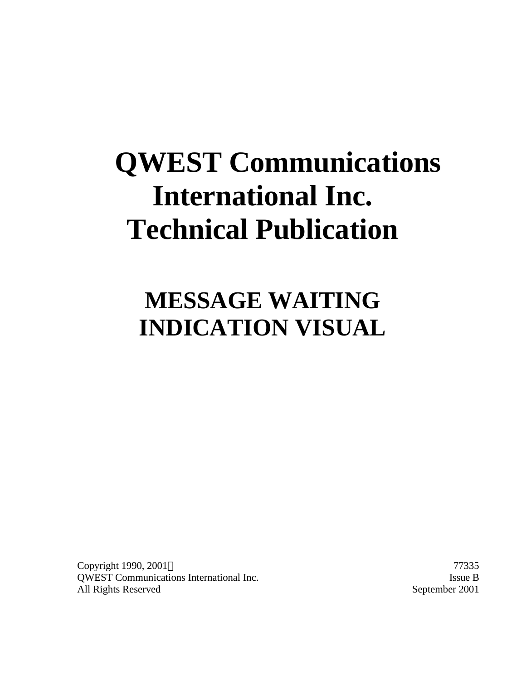# **QWEST Communications International Inc. Technical Publication**

# **MESSAGE WAITING INDICATION VISUAL**

Copyright 1990, 2001© 77335 **OWEST Communications International Inc.** Issue B All Rights Reserved September 2001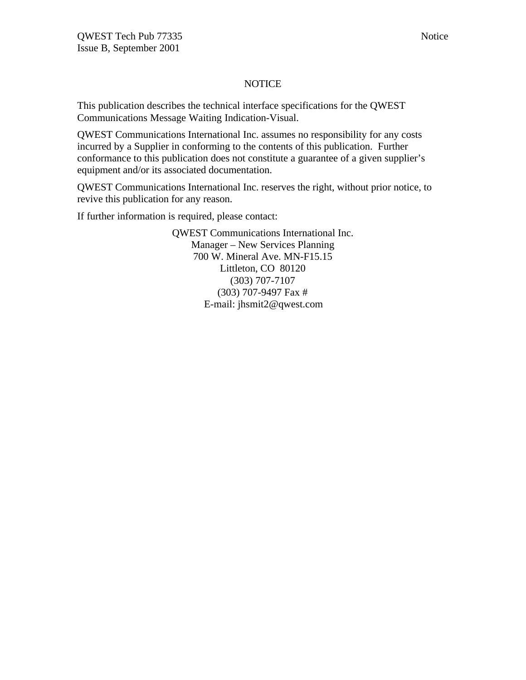### NOTICE

This publication describes the technical interface specifications for the QWEST Communications Message Waiting Indication-Visual.

QWEST Communications International Inc. assumes no responsibility for any costs incurred by a Supplier in conforming to the contents of this publication. Further conformance to this publication does not constitute a guarantee of a given supplier's equipment and/or its associated documentation.

QWEST Communications International Inc. reserves the right, without prior notice, to revive this publication for any reason.

If further information is required, please contact:

QWEST Communications International Inc. Manager – New Services Planning 700 W. Mineral Ave. MN-F15.15 Littleton, CO 80120 (303) 707-7107 (303) 707-9497 Fax # E-mail: jhsmit2@qwest.com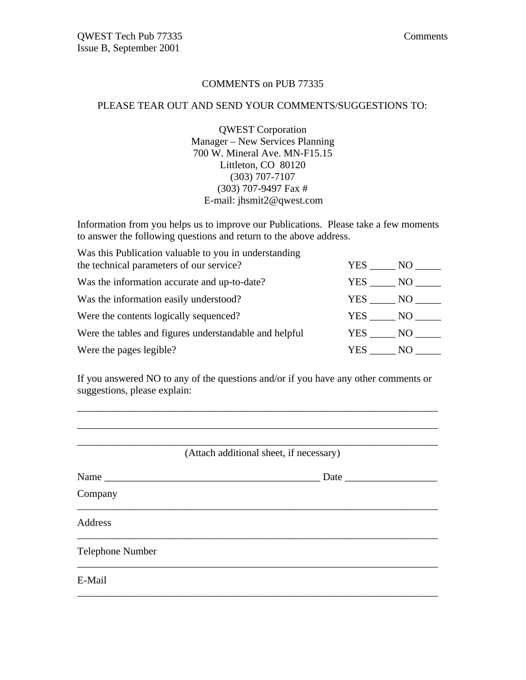#### COMMENTS on PUB 77335

#### PLEASE TEAR OUT AND SEND YOUR COMMENTS/SUGGESTIONS TO:

QWEST Corporation Manager – New Services Planning 700 W. Mineral Ave. MN-F15.15 Littleton, CO 80120 (303) 707-7107 (303) 707-9497 Fax # E-mail: jhsmit2@qwest.com

Information from you helps us to improve our Publications. Please take a few moments to answer the following questions and return to the above address.

| Was this Publication valuable to you in understanding  |                   |
|--------------------------------------------------------|-------------------|
| the technical parameters of our service?               | YES<br>NO         |
| Was the information accurate and up-to-date?           | YES<br>NO.        |
| Was the information easily understood?                 | YES<br>NO.        |
| Were the contents logically sequenced?                 | YES<br>NO         |
| Were the tables and figures understandable and helpful | <b>YES</b><br>NO. |
| Were the pages legible?                                | YES<br>NO.        |

If you answered NO to any of the questions and/or if you have any other comments or suggestions, please explain:

\_\_\_\_\_\_\_\_\_\_\_\_\_\_\_\_\_\_\_\_\_\_\_\_\_\_\_\_\_\_\_\_\_\_\_\_\_\_\_\_\_\_\_\_\_\_\_\_\_\_\_\_\_\_\_\_\_\_\_\_\_\_\_\_\_\_\_\_\_\_ \_\_\_\_\_\_\_\_\_\_\_\_\_\_\_\_\_\_\_\_\_\_\_\_\_\_\_\_\_\_\_\_\_\_\_\_\_\_\_\_\_\_\_\_\_\_\_\_\_\_\_\_\_\_\_\_\_\_\_\_\_\_\_\_\_\_\_\_\_\_

| (Attach additional sheet, if necessary) |  |
|-----------------------------------------|--|

| Name             |  |
|------------------|--|
| Company          |  |
| Address          |  |
| Telephone Number |  |
| E-Mail           |  |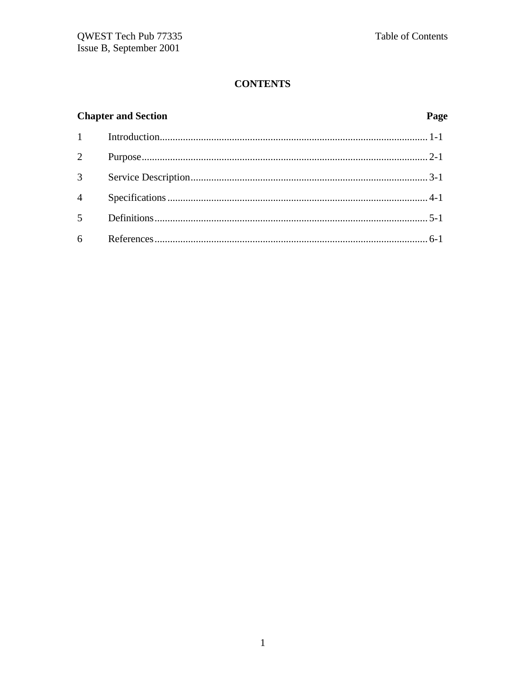#### **Chapter and Section** Page  $\mathbf{1}$  $\overline{2}$  $\overline{3}$  $\overline{4}$  $\overline{5}$ 6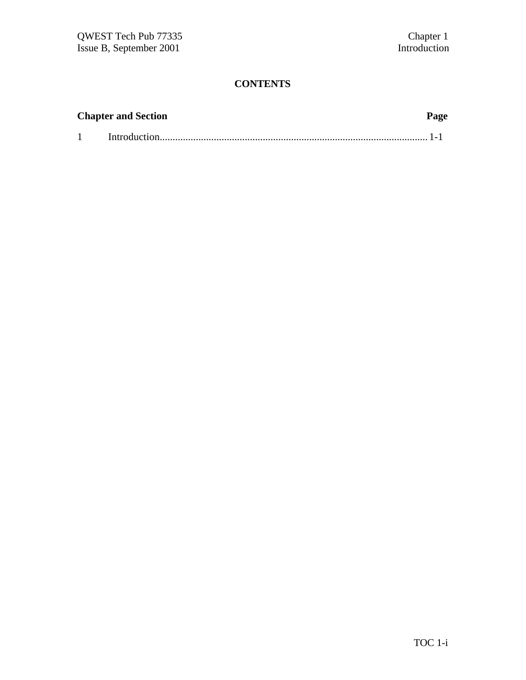| <b>Chapter and Section</b> | Page |
|----------------------------|------|
|                            |      |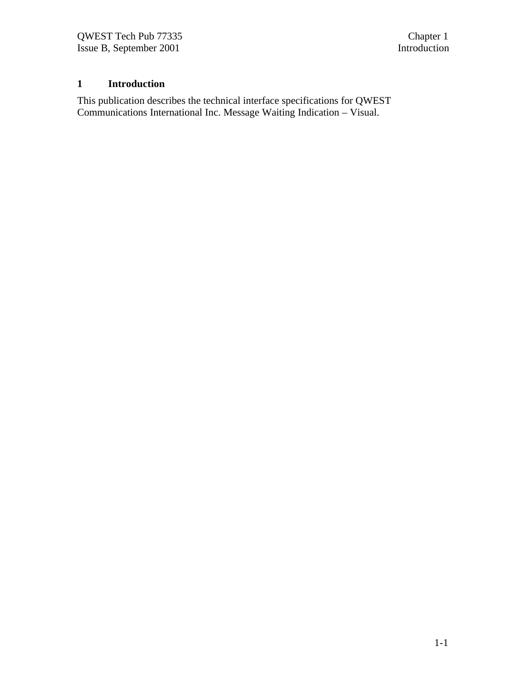## **1 Introduction**

This publication describes the technical interface specifications for QWEST Communications International Inc. Message Waiting Indication – Visual.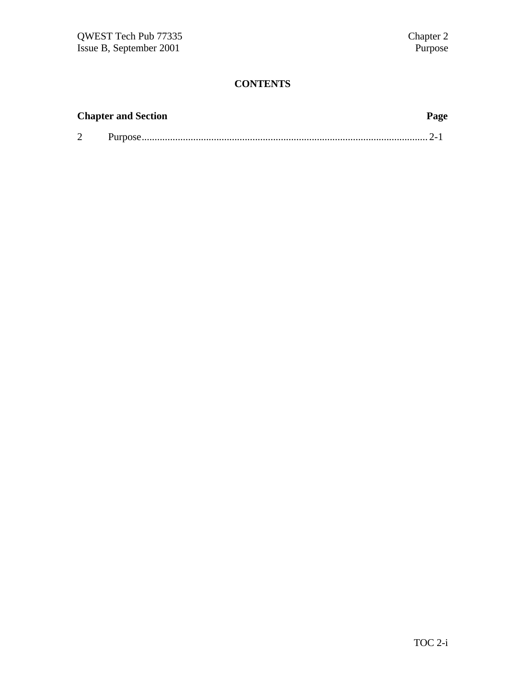|                | <b>Chapter and Section</b> | Page |
|----------------|----------------------------|------|
| $\overline{2}$ |                            |      |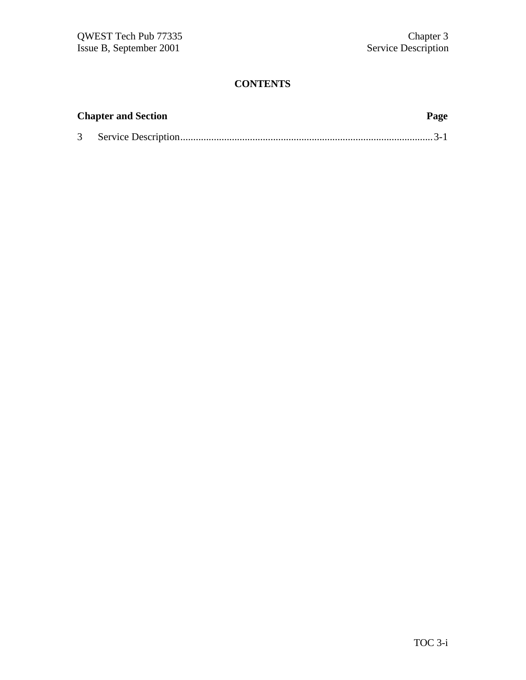| <b>Chapter and Section</b> | Page |
|----------------------------|------|
|                            |      |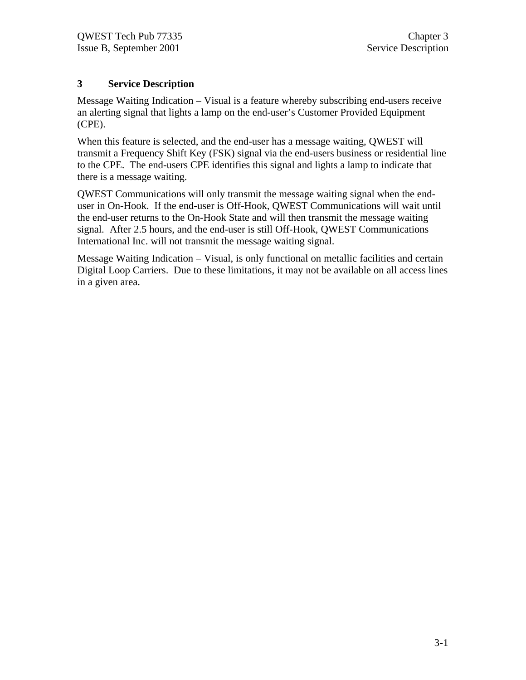### **3 Service Description**

Message Waiting Indication – Visual is a feature whereby subscribing end-users receive an alerting signal that lights a lamp on the end-user's Customer Provided Equipment (CPE).

When this feature is selected, and the end-user has a message waiting, QWEST will transmit a Frequency Shift Key (FSK) signal via the end-users business or residential line to the CPE. The end-users CPE identifies this signal and lights a lamp to indicate that there is a message waiting.

QWEST Communications will only transmit the message waiting signal when the enduser in On-Hook. If the end-user is Off-Hook, QWEST Communications will wait until the end-user returns to the On-Hook State and will then transmit the message waiting signal. After 2.5 hours, and the end-user is still Off-Hook, QWEST Communications International Inc. will not transmit the message waiting signal.

Message Waiting Indication – Visual, is only functional on metallic facilities and certain Digital Loop Carriers. Due to these limitations, it may not be available on all access lines in a given area.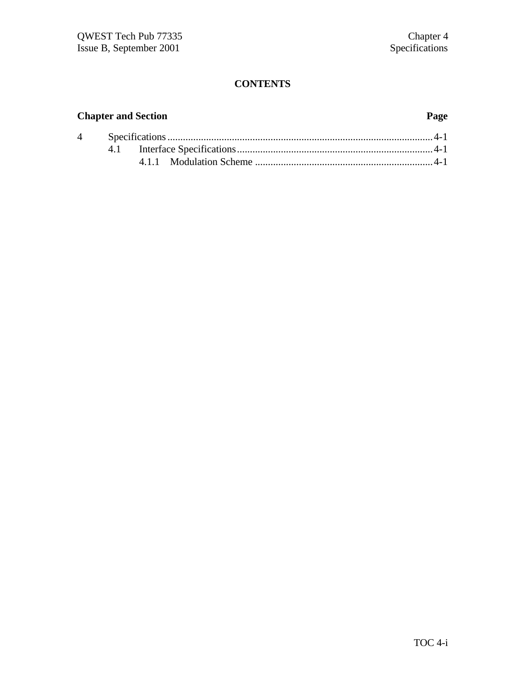# **Chapter and Section Page**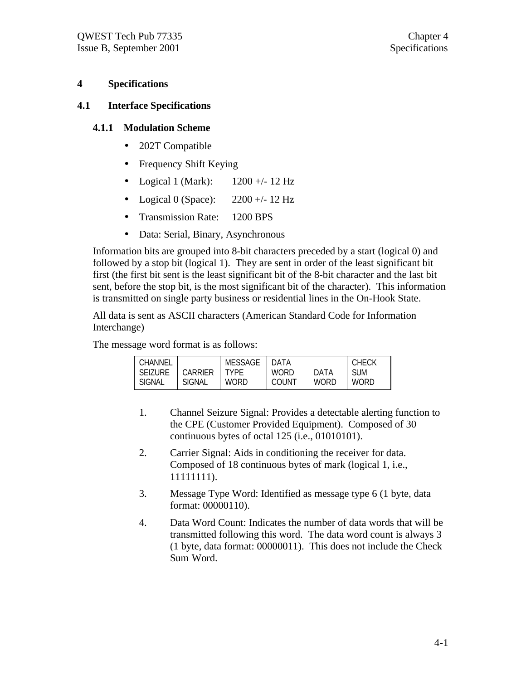### **4 Specifications**

### **4.1 Interface Specifications**

#### **4.1.1 Modulation Scheme**

- 202T Compatible
- Frequency Shift Keying
- Logical 1 (Mark):  $1200 +/- 12$  Hz
- Logical 0 (Space):  $2200 +/- 12$  Hz
- Transmission Rate: 1200 BPS
- Data: Serial, Binary, Asynchronous

Information bits are grouped into 8-bit characters preceded by a start (logical 0) and followed by a stop bit (logical 1). They are sent in order of the least significant bit first (the first bit sent is the least significant bit of the 8-bit character and the last bit sent, before the stop bit, is the most significant bit of the character). This information is transmitted on single party business or residential lines in the On-Hook State.

All data is sent as ASCII characters (American Standard Code for Information Interchange)

The message word format is as follows:

| COUNT<br>SIGNAL<br>SIGNAL<br>WORD<br>WORD<br><b>WORD</b> |  | CHANNEL<br><b>SFIZURE</b> | CARRIFR | MESSAGE<br><b>TYPF</b> | DATA<br>WORD | DATA | <b>CHECK</b><br><b>SUM</b> |
|----------------------------------------------------------|--|---------------------------|---------|------------------------|--------------|------|----------------------------|
|----------------------------------------------------------|--|---------------------------|---------|------------------------|--------------|------|----------------------------|

- 1. Channel Seizure Signal: Provides a detectable alerting function to the CPE (Customer Provided Equipment). Composed of 30 continuous bytes of octal 125 (i.e., 01010101).
- 2. Carrier Signal: Aids in conditioning the receiver for data. Composed of 18 continuous bytes of mark (logical 1, i.e., 11111111).
- 3. Message Type Word: Identified as message type 6 (1 byte, data format: 00000110).
- 4. Data Word Count: Indicates the number of data words that will be transmitted following this word. The data word count is always 3 (1 byte, data format: 00000011). This does not include the Check Sum Word.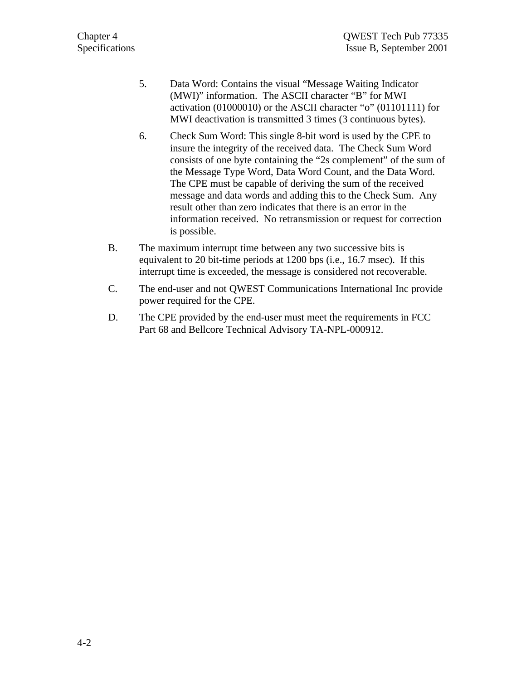- 5. Data Word: Contains the visual "Message Waiting Indicator (MWI)" information. The ASCII character "B" for MWI activation (01000010) or the ASCII character "o" (01101111) for MWI deactivation is transmitted 3 times (3 continuous bytes).
- 6. Check Sum Word: This single 8-bit word is used by the CPE to insure the integrity of the received data. The Check Sum Word consists of one byte containing the "2s complement" of the sum of the Message Type Word, Data Word Count, and the Data Word. The CPE must be capable of deriving the sum of the received message and data words and adding this to the Check Sum. Any result other than zero indicates that there is an error in the information received. No retransmission or request for correction is possible.
- B. The maximum interrupt time between any two successive bits is equivalent to 20 bit-time periods at 1200 bps (i.e., 16.7 msec). If this interrupt time is exceeded, the message is considered not recoverable.
- C. The end-user and not QWEST Communications International Inc provide power required for the CPE.
- D. The CPE provided by the end-user must meet the requirements in FCC Part 68 and Bellcore Technical Advisory TA-NPL-000912.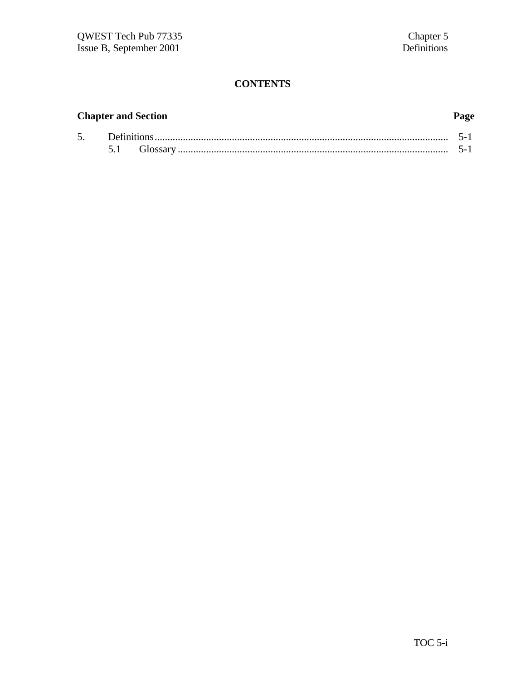# **Chapter and Section Page**

| Ć. |  | ۔ د |
|----|--|-----|
|    |  | ۔ د |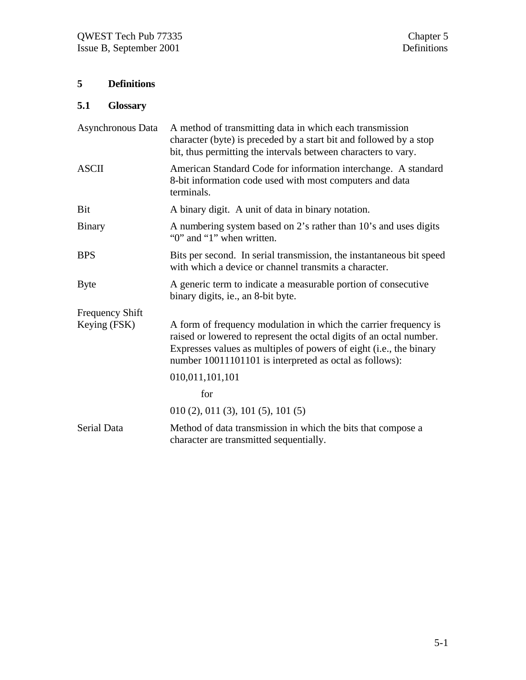# **5 Definitions**

# **5.1 Glossary**

| Asynchronous Data      | A method of transmitting data in which each transmission<br>character (byte) is preceded by a start bit and followed by a stop<br>bit, thus permitting the intervals between characters to vary.                                                                         |
|------------------------|--------------------------------------------------------------------------------------------------------------------------------------------------------------------------------------------------------------------------------------------------------------------------|
| <b>ASCII</b>           | American Standard Code for information interchange. A standard<br>8-bit information code used with most computers and data<br>terminals.                                                                                                                                 |
| Bit                    | A binary digit. A unit of data in binary notation.                                                                                                                                                                                                                       |
| <b>Binary</b>          | A numbering system based on 2's rather than 10's and uses digits<br>"0" and "1" when written.                                                                                                                                                                            |
| <b>BPS</b>             | Bits per second. In serial transmission, the instantaneous bit speed<br>with which a device or channel transmits a character.                                                                                                                                            |
| <b>Byte</b>            | A generic term to indicate a measurable portion of consecutive<br>binary digits, ie., an 8-bit byte.                                                                                                                                                                     |
| <b>Frequency Shift</b> |                                                                                                                                                                                                                                                                          |
| Keying (FSK)           | A form of frequency modulation in which the carrier frequency is<br>raised or lowered to represent the octal digits of an octal number.<br>Expresses values as multiples of powers of eight (i.e., the binary<br>number 10011101101 is interpreted as octal as follows): |
|                        | 010,011,101,101                                                                                                                                                                                                                                                          |
|                        | for                                                                                                                                                                                                                                                                      |
|                        | 010(2), 011(3), 101(5), 101(5)                                                                                                                                                                                                                                           |
| Serial Data            | Method of data transmission in which the bits that compose a<br>character are transmitted sequentially.                                                                                                                                                                  |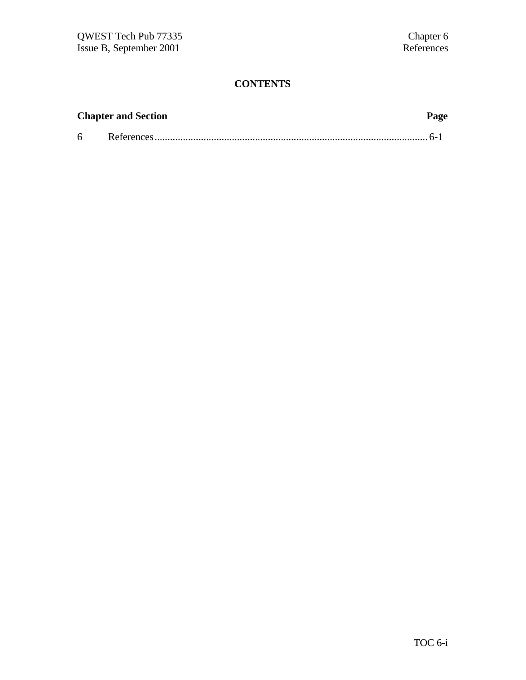| <b>Chapter and Section</b> | Page |
|----------------------------|------|
|                            |      |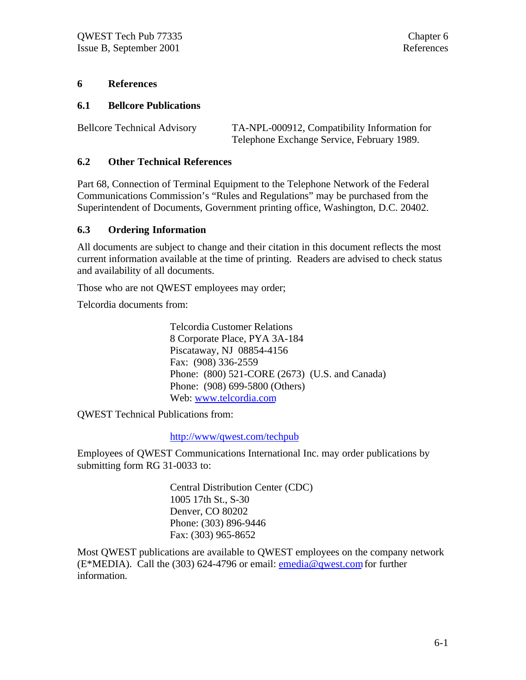### **6 References**

#### **6.1 Bellcore Publications**

Bellcore Technical Advisory TA-NPL-000912, Compatibility Information for Telephone Exchange Service, February 1989.

### **6.2 Other Technical References**

Part 68, Connection of Terminal Equipment to the Telephone Network of the Federal Communications Commission's "Rules and Regulations" may be purchased from the Superintendent of Documents, Government printing office, Washington, D.C. 20402.

#### **6.3 Ordering Information**

All documents are subject to change and their citation in this document reflects the most current information available at the time of printing. Readers are advised to check status and availability of all documents.

Those who are not QWEST employees may order;

Telcordia documents from:

Telcordia Customer Relations 8 Corporate Place, PYA 3A-184 Piscataway, NJ 08854-4156 Fax: (908) 336-2559 Phone: (800) 521-CORE (2673) (U.S. and Canada) Phone: (908) 699-5800 (Others) Web: www.telcordia.com

QWEST Technical Publications from:

#### http://www/qwest.com/techpub

Employees of QWEST Communications International Inc. may order publications by submitting form RG 31-0033 to:

> Central Distribution Center (CDC) 1005 17th St., S-30 Denver, CO 80202 Phone: (303) 896-9446 Fax: (303) 965-8652

Most QWEST publications are available to QWEST employees on the company network (E\*MEDIA). Call the (303) 624-4796 or email:  $emedia@quest.com$  for further information.